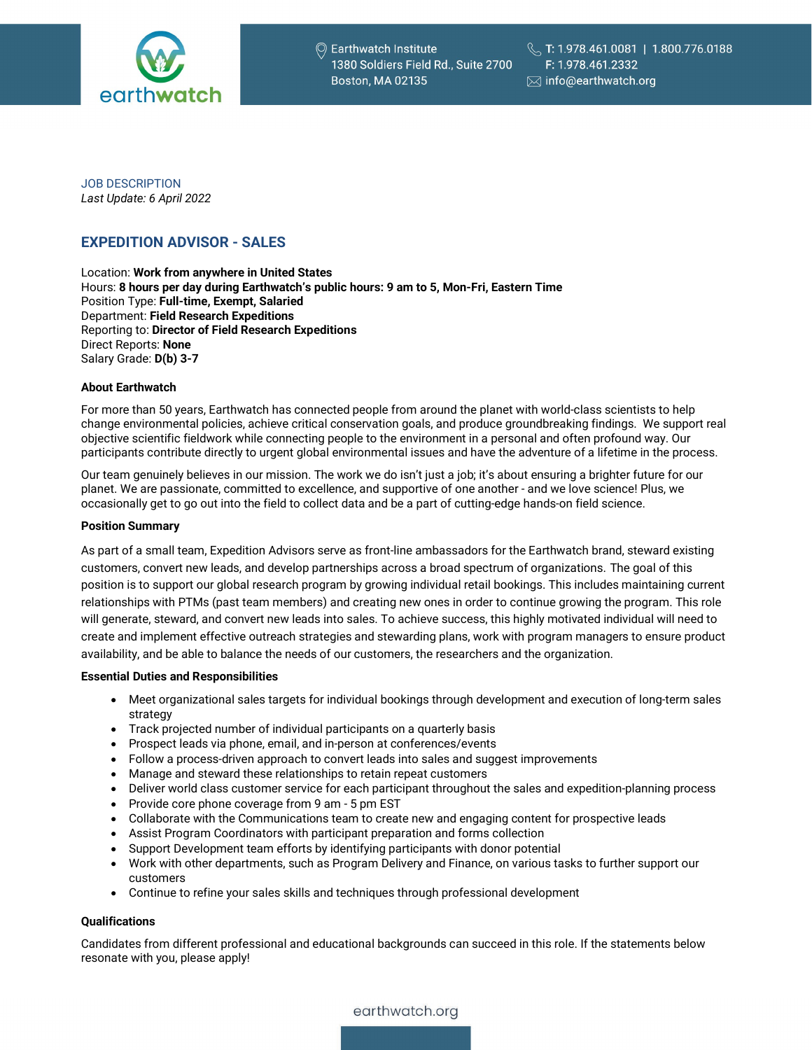

JOB DESCRIPTION *Last Update: 6 April 2022*

# **EXPEDITION ADVISOR - SALES**

Location: **Work from anywhere in United States** Hours: **8 hours per day during Earthwatch's public hours: 9 am to 5, Mon-Fri, Eastern Time** Position Type: **Full-time, Exempt, Salaried** Department: **Field Research Expeditions** Reporting to: **Director of Field Research Expeditions** Direct Reports: **None** Salary Grade: **D(b) 3-7**

#### **About Earthwatch**

For more than 50 years, Earthwatch has connected people from around the planet with world-class scientists to help change environmental policies, achieve critical conservation goals, and produce groundbreaking findings. We support real objective scientific fieldwork while connecting people to the environment in a personal and often profound way. Our participants contribute directly to urgent global environmental issues and have the adventure of a lifetime in the process.

Our team genuinely believes in our mission. The work we do isn't just a job; it's about ensuring a brighter future for our planet. We are passionate, committed to excellence, and supportive of one another - and we love science! Plus, we occasionally get to go out into the field to collect data and be a part of cutting-edge hands-on field science.

#### **Position Summary**

As part of a small team, Expedition Advisors serve as front-line ambassadors for the Earthwatch brand, steward existing customers, convert new leads, and develop partnerships across a broad spectrum of organizations. The goal of this position is to support our global research program by growing individual retail bookings. This includes maintaining current relationships with PTMs (past team members) and creating new ones in order to continue growing the program. This role will generate, steward, and convert new leads into sales. To achieve success, this highly motivated individual will need to create and implement effective outreach strategies and stewarding plans, work with program managers to ensure product availability, and be able to balance the needs of our customers, the researchers and the organization.

#### **Essential Duties and Responsibilities**

- Meet organizational sales targets for individual bookings through development and execution of long-term sales strategy
- Track projected number of individual participants on a quarterly basis
- Prospect leads via phone, email, and in-person at conferences/events
- Follow a process-driven approach to convert leads into sales and suggest improvements
- Manage and steward these relationships to retain repeat customers
- Deliver world class customer service for each participant throughout the sales and expedition-planning process
- Provide core phone coverage from 9 am 5 pm EST
- Collaborate with the Communications team to create new and engaging content for prospective leads
- Assist Program Coordinators with participant preparation and forms collection
- Support Development team efforts by identifying participants with donor potential
- Work with other departments, such as Program Delivery and Finance, on various tasks to further support our customers
- Continue to refine your sales skills and techniques through professional development

#### **Qualifications**

Candidates from different professional and educational backgrounds can succeed in this role. If the statements below resonate with you, please apply!

earthwatch.org